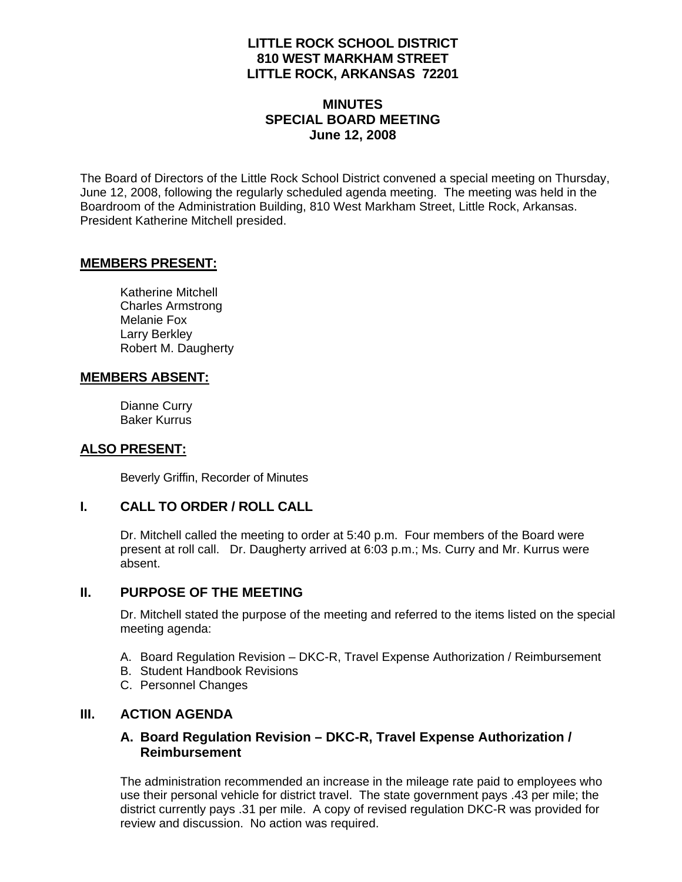## **LITTLE ROCK SCHOOL DISTRICT 810 WEST MARKHAM STREET LITTLE ROCK, ARKANSAS 72201**

## **MINUTES SPECIAL BOARD MEETING June 12, 2008**

The Board of Directors of the Little Rock School District convened a special meeting on Thursday, June 12, 2008, following the regularly scheduled agenda meeting. The meeting was held in the Boardroom of the Administration Building, 810 West Markham Street, Little Rock, Arkansas. President Katherine Mitchell presided.

#### **MEMBERS PRESENT:**

Katherine Mitchell Charles Armstrong Melanie Fox Larry Berkley Robert M. Daugherty

## **MEMBERS ABSENT:**

Dianne Curry Baker Kurrus

## **ALSO PRESENT:**

Beverly Griffin, Recorder of Minutes

## **I. CALL TO ORDER / ROLL CALL**

Dr. Mitchell called the meeting to order at 5:40 p.m. Four members of the Board were present at roll call. Dr. Daugherty arrived at 6:03 p.m.; Ms. Curry and Mr. Kurrus were absent.

## **II. PURPOSE OF THE MEETING**

Dr. Mitchell stated the purpose of the meeting and referred to the items listed on the special meeting agenda:

- A. Board Regulation Revision DKC-R, Travel Expense Authorization / Reimbursement
- B. Student Handbook Revisions
- C. Personnel Changes

## **III. ACTION AGENDA**

## **A. Board Regulation Revision – DKC-R, Travel Expense Authorization / Reimbursement**

The administration recommended an increase in the mileage rate paid to employees who use their personal vehicle for district travel. The state government pays .43 per mile; the district currently pays .31 per mile. A copy of revised regulation DKC-R was provided for review and discussion. No action was required.